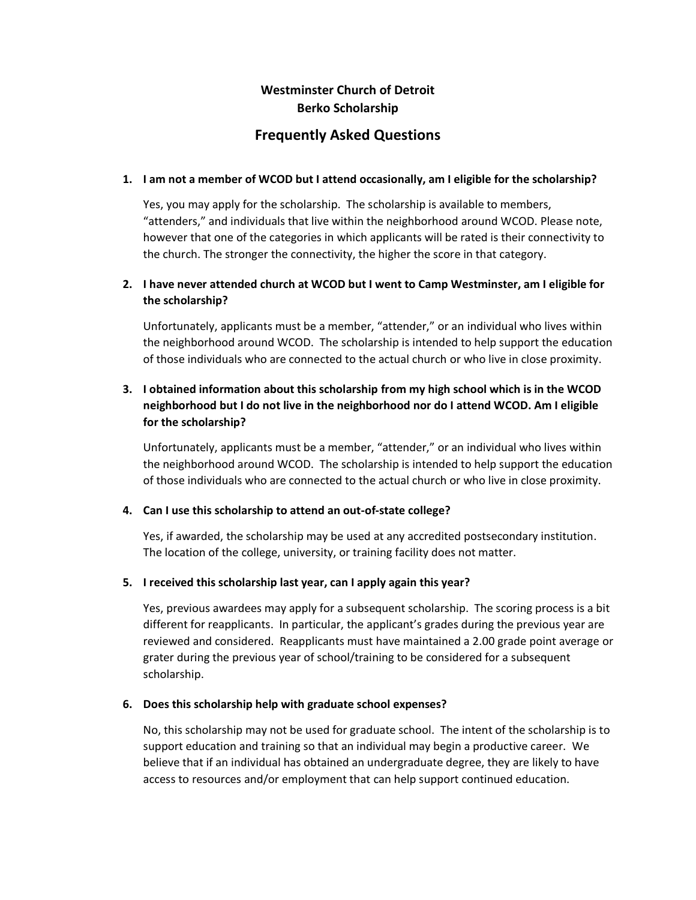# **Westminster Church of Detroit Berko Scholarship**

# **Frequently Asked Questions**

### **1. I am not a member of WCOD but I attend occasionally, am I eligible for the scholarship?**

Yes, you may apply for the scholarship. The scholarship is available to members, "attenders," and individuals that live within the neighborhood around WCOD. Please note, however that one of the categories in which applicants will be rated is their connectivity to the church. The stronger the connectivity, the higher the score in that category.

## **2. I have never attended church at WCOD but I went to Camp Westminster, am I eligible for the scholarship?**

Unfortunately, applicants must be a member, "attender," or an individual who lives within the neighborhood around WCOD. The scholarship is intended to help support the education of those individuals who are connected to the actual church or who live in close proximity.

## **3. I obtained information about this scholarship from my high school which is in the WCOD neighborhood but I do not live in the neighborhood nor do I attend WCOD. Am I eligible for the scholarship?**

Unfortunately, applicants must be a member, "attender," or an individual who lives within the neighborhood around WCOD. The scholarship is intended to help support the education of those individuals who are connected to the actual church or who live in close proximity.

#### **4. Can I use this scholarship to attend an out-of-state college?**

Yes, if awarded, the scholarship may be used at any accredited postsecondary institution. The location of the college, university, or training facility does not matter.

## **5. I received this scholarship last year, can I apply again this year?**

Yes, previous awardees may apply for a subsequent scholarship. The scoring process is a bit different for reapplicants. In particular, the applicant's grades during the previous year are reviewed and considered. Reapplicants must have maintained a 2.00 grade point average or grater during the previous year of school/training to be considered for a subsequent scholarship.

#### **6. Does this scholarship help with graduate school expenses?**

No, this scholarship may not be used for graduate school. The intent of the scholarship is to support education and training so that an individual may begin a productive career. We believe that if an individual has obtained an undergraduate degree, they are likely to have access to resources and/or employment that can help support continued education.